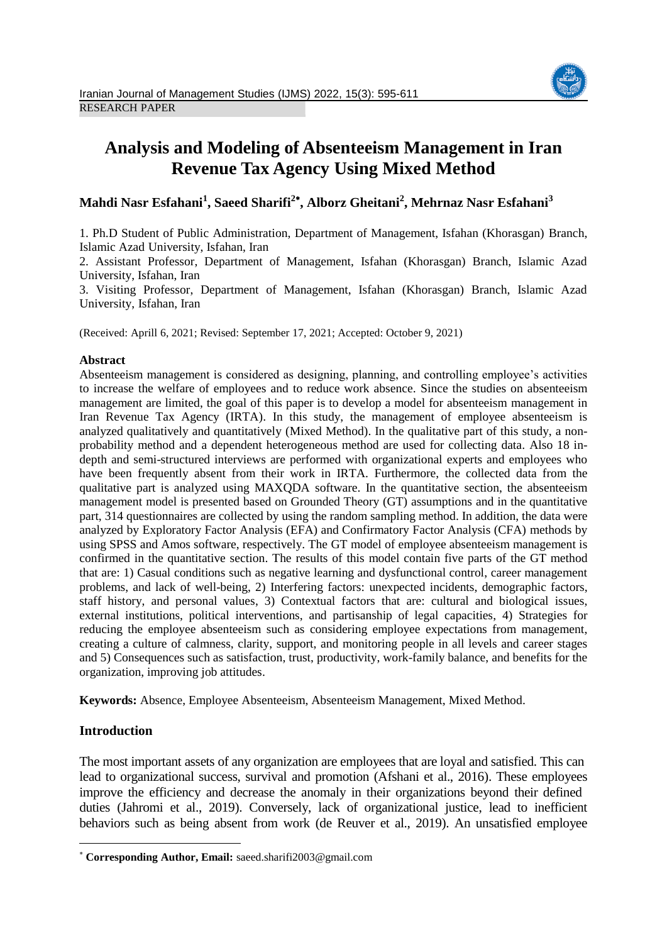

# **Analysis and Modeling of Absenteeism Management in Iran Revenue Tax Agency Using Mixed Method**

## **Mahdi Nasr Esfahani<sup>1</sup> , Saeed Sharifi<sup>2</sup> , Alborz Gheitani<sup>2</sup> , Mehrnaz Nasr Esfahani<sup>3</sup>**

1. Ph.D Student of Public Administration, Department of Management, Isfahan (Khorasgan) Branch, Islamic Azad University, Isfahan, Iran

2. Assistant Professor, Department of Management, Isfahan (Khorasgan) Branch, Islamic Azad University, Isfahan, Iran

3. Visiting Professor, Department of Management, Isfahan (Khorasgan) Branch, Islamic Azad University, Isfahan, Iran

(Received: Aprill 6, 2021; Revised: September 17, 2021; Accepted: October 9, 2021)

#### **Abstract**

Absenteeism management is considered as designing, planning, and controlling employee's activities to increase the welfare of employees and to reduce work absence. Since the studies on absenteeism management are limited, the goal of this paper is to develop a model for absenteeism management in Iran Revenue Tax Agency (IRTA). In this study, the management of employee absenteeism is analyzed qualitatively and quantitatively (Mixed Method). In the qualitative part of this study, a nonprobability method and a dependent heterogeneous method are used for collecting data. Also 18 indepth and semi-structured interviews are performed with organizational experts and employees who have been frequently absent from their work in IRTA. Furthermore, the collected data from the qualitative part is analyzed using MAXQDA software. In the quantitative section, the absenteeism management model is presented based on Grounded Theory (GT) assumptions and in the quantitative part, 314 questionnaires are collected by using the random sampling method. In addition, the data were analyzed by Exploratory Factor Analysis (EFA) and Confirmatory Factor Analysis (CFA) methods by using SPSS and Amos software, respectively. The GT model of employee absenteeism management is confirmed in the quantitative section. The results of this model contain five parts of the GT method that are: 1) Casual conditions such as negative learning and dysfunctional control, career management problems, and lack of well-being, 2) Interfering factors: unexpected incidents, demographic factors, staff history, and personal values, 3) Contextual factors that are: cultural and biological issues, external institutions, political interventions, and partisanship of legal capacities, 4) Strategies for reducing the employee absenteeism such as considering employee expectations from management, creating a culture of calmness, clarity, support, and monitoring people in all levels and career stages and 5) Consequences such as satisfaction, trust, productivity, work-family balance, and benefits for the organization, improving job attitudes.

**Keywords:** Absence, Employee Absenteeism, Absenteeism Management, Mixed Method.

### **Introduction**

 $\overline{a}$ 

The most important assets of any organization are employees that are loyal and satisfied. This can lead to organizational success, survival and promotion (Afshani et al., 2016). These employees improve the efficiency and decrease the anomaly in their organizations beyond their defined duties (Jahromi et al., 2019). Conversely, lack of organizational justice, lead to inefficient behaviors such as being absent from work (de Reuver et al., 2019). An unsatisfied employee

**Corresponding Author, Email:** saeed.sharifi2003@gmail.com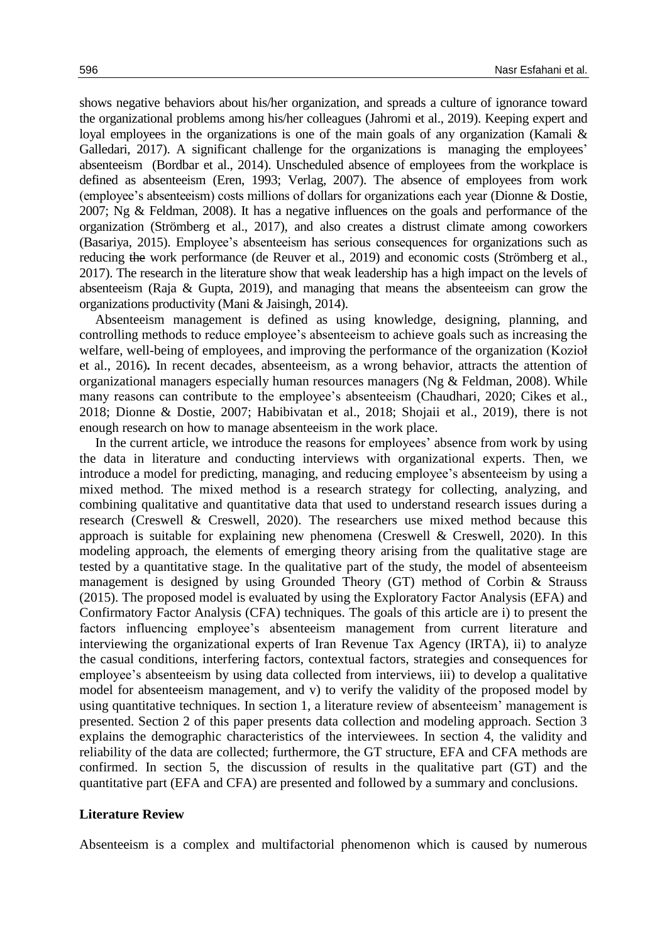shows negative behaviors about his/her organization, and spreads a culture of ignorance toward the organizational problems among his/her colleagues (Jahromi et al., 2019). Keeping expert and loyal employees in the organizations is one of the main goals of any organization (Kamali & Galledari, 2017). A significant challenge for the organizations is managing the employees' absenteeism (Bordbar et al., 2014). Unscheduled absence of employees from the workplace is defined as absenteeism (Eren, 1993; Verlag, 2007). The absence of employees from work (employee's absenteeism) costs millions of dollars for organizations each year (Dionne & Dostie, 2007; Ng & Feldman, 2008). It has a negative influences on the goals and performance of the organization (Strömberg et al., 2017), and also creates a distrust climate among coworkers (Basariya, 2015). Employee's absenteeism has serious consequences for organizations such as reducing the work performance (de Reuver et al., 2019) and economic costs (Strömberg et al., 2017). The research in the literature show that weak leadership has a high impact on the levels of absenteeism (Raja & Gupta, 2019), and managing that means the absenteeism can grow the organizations productivity (Mani & Jaisingh, 2014).

Absenteeism management is defined as using knowledge, designing, planning, and controlling methods to reduce employee's absenteeism to achieve goals such as increasing the welfare, well-being of employees, and improving the performance of the organization (Kozioł et al., 2016)*.* In recent decades, absenteeism, as a wrong behavior, attracts the attention of organizational managers especially human resources managers (Ng & Feldman, 2008). While many reasons can contribute to the employee's absenteeism (Chaudhari, 2020; Cikes et al., 2018; Dionne & Dostie, 2007; Habibivatan et al., 2018; Shojaii et al., 2019), there is not enough research on how to manage absenteeism in the work place.

In the current article, we introduce the reasons for employees' absence from work by using the data in literature and conducting interviews with organizational experts. Then, we introduce a model for predicting, managing, and reducing employee's absenteeism by using a mixed method. The mixed method is a research strategy for collecting, analyzing, and combining qualitative and quantitative data that used to understand research issues during a research (Creswell & Creswell, 2020). The researchers use mixed method because this approach is suitable for explaining new phenomena (Creswell & Creswell, 2020). In this modeling approach, the elements of emerging theory arising from the qualitative stage are tested by a quantitative stage. In the qualitative part of the study, the model of absenteeism management is designed by using Grounded Theory (GT) method of Corbin & Strauss (2015). The proposed model is evaluated by using the Exploratory Factor Analysis (EFA) and Confirmatory Factor Analysis (CFA) techniques. The goals of this article are i) to present the factors influencing employee's absenteeism management from current literature and interviewing the organizational experts of Iran Revenue Tax Agency (IRTA), ii) to analyze the casual conditions, interfering factors, contextual factors, strategies and consequences for employee's absenteeism by using data collected from interviews, iii) to develop a qualitative model for absenteeism management, and v) to verify the validity of the proposed model by using quantitative techniques. In section 1, a literature review of absenteeism' management is presented. Section 2 of this paper presents data collection and modeling approach. Section 3 explains the demographic characteristics of the interviewees. In section 4, the validity and reliability of the data are collected; furthermore, the GT structure, EFA and CFA methods are confirmed. In section 5, the discussion of results in the qualitative part (GT) and the quantitative part (EFA and CFA) are presented and followed by a summary and conclusions.

#### **Literature Review**

Absenteeism is a complex and multifactorial phenomenon which is caused by numerous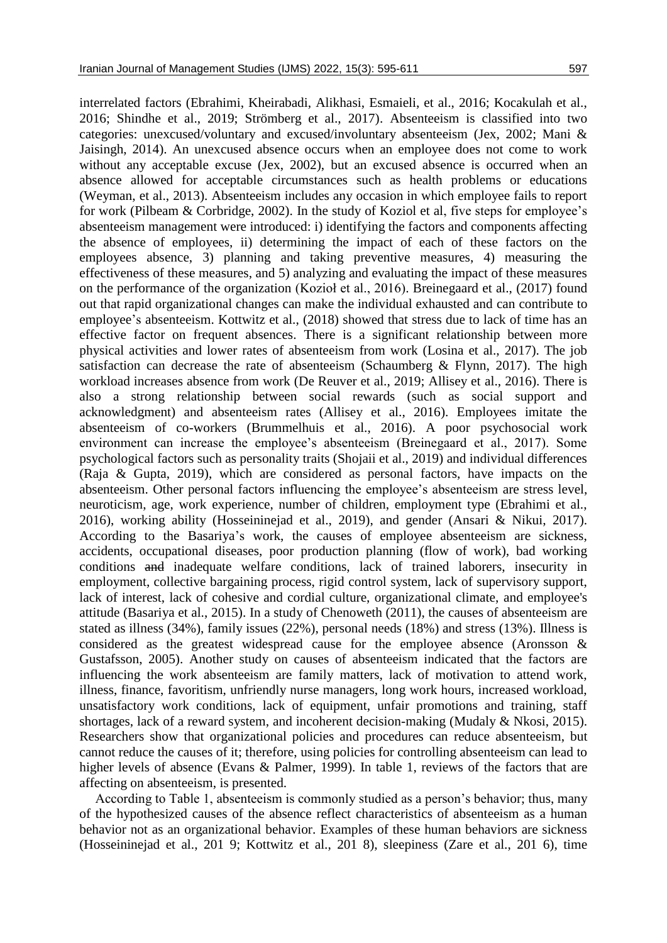interrelated factors (Ebrahimi, Kheirabadi, Alikhasi, Esmaieli, et al., 2016; Kocakulah et al., 2016; Shindhe et al., 2019; Strömberg et al., 2017). Absenteeism is classified into two categories: unexcused/voluntary and excused/involuntary absenteeism (Jex, 2002; Mani & Jaisingh, 2014). An unexcused absence occurs when an employee does not come to work without any acceptable excuse (Jex, 2002), but an excused absence is occurred when an absence allowed for acceptable circumstances such as health problems or educations (Weyman, et al., 2013). Absenteeism includes any occasion in which employee fails to report for work (Pilbeam & Corbridge, 2002). In the study of Koziol et al, five steps for employee's absenteeism management were introduced: i) identifying the factors and components affecting the absence of employees, ii) determining the impact of each of these factors on the employees absence, 3) planning and taking preventive measures, 4) measuring the effectiveness of these measures, and 5) analyzing and evaluating the impact of these measures on the performance of the organization (Kozioł et al., 2016). Breinegaard et al., (2017) found out that rapid organizational changes can make the individual exhausted and can contribute to employee's absenteeism. Kottwitz et al., (2018) showed that stress due to lack of time has an effective factor on frequent absences. There is a significant relationship between more physical activities and lower rates of absenteeism from work (Losina et al., 2017). The job satisfaction can decrease the rate of absenteeism (Schaumberg  $\&$  Flynn, 2017). The high workload increases absence from work (De Reuver et al., 2019; Allisey et al., 2016). There is also a strong relationship between social rewards (such as social support and acknowledgment) and absenteeism rates (Allisey et al., 2016). Employees imitate the absenteeism of co-workers (Brummelhuis et al., 2016). A poor psychosocial work environment can increase the employee's absenteeism (Breinegaard et al., 2017). Some psychological factors such as personality traits (Shojaii et al., 2019) and individual differences (Raja & Gupta, 2019), which are considered as personal factors, have impacts on the absenteeism. Other personal factors influencing the employee's absenteeism are stress level, neuroticism, age, work experience, number of children, employment type (Ebrahimi et al., 2016), working ability (Hosseininejad et al., 2019), and gender (Ansari & Nikui, 2017). According to the Basariya's work, the causes of employee absenteeism are sickness, accidents, occupational diseases, poor production planning (flow of work), bad working conditions and inadequate welfare conditions, lack of trained laborers, insecurity in employment, collective bargaining process, rigid control system, lack of supervisory support, lack of interest, lack of cohesive and cordial culture, organizational climate, and employee's attitude (Basariya et al., 2015). In a study of Chenoweth (2011), the causes of absenteeism are stated as illness (34%), family issues (22%), personal needs (18%) and stress (13%). Illness is considered as the greatest widespread cause for the employee absence (Aronsson & Gustafsson, 2005). Another study on causes of absenteeism indicated that the factors are influencing the work absenteeism are family matters, lack of motivation to attend work, illness, finance, favoritism, unfriendly nurse managers, long work hours, increased workload, unsatisfactory work conditions, lack of equipment, unfair promotions and training, staff shortages, lack of a reward system, and incoherent decision-making (Mudaly & Nkosi, 2015). Researchers show that organizational policies and procedures can reduce absenteeism, but cannot reduce the causes of it; therefore, using policies for controlling absenteeism can lead to higher levels of absence (Evans & Palmer, 1999). In table 1, reviews of the factors that are affecting on absenteeism, is presented.

According to Table 1, absenteeism is commonly studied as a person's behavior; thus, many of the hypothesized causes of the absence reflect characteristics of absenteeism as a human behavior not as an organizational behavior. Examples of these human behaviors are sickness (Hosseininejad et al., 201 9; Kottwitz et al., 201 8), sleepiness (Zare et al., 201 6), time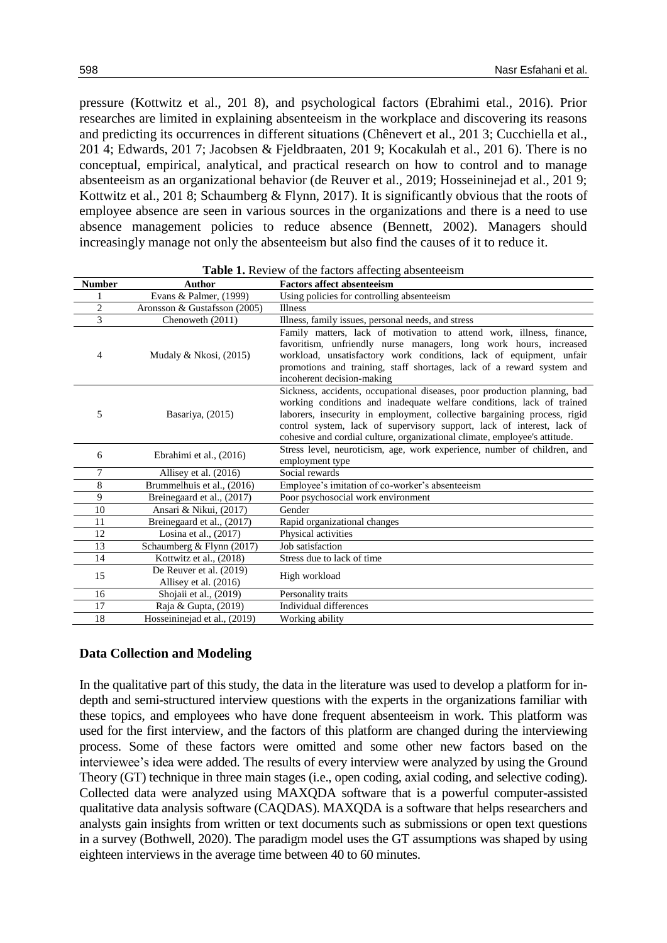pressure (Kottwitz et al., 201 8), and psychological factors (Ebrahimi etal., 2016). Prior researches are limited in explaining absenteeism in the workplace and discovering its reasons and predicting its occurrences in different situations (Chênevert et al., 201 3; Cucchiella et al., 201 4; Edwards, 201 7; Jacobsen & Fjeldbraaten, 201 9; Kocakulah et al., 201 6). There is no conceptual, empirical, analytical, and practical research on how to control and to manage absenteeism as an organizational behavior (de Reuver et al., 2019; Hosseininejad et al., 201 9; Kottwitz et al., 201 8; Schaumberg & Flynn, 2017). It is significantly obvious that the roots of employee absence are seen in various sources in the organizations and there is a need to use absence management policies to reduce absence (Bennett, 2002). Managers should increasingly manage not only the absenteeism but also find the causes of it to reduce it.

| <b>Number</b>  | <b>Author</b>                                    | <b>Factors affect absenteeism</b>                                                                                                                                                                                                                                                                                                                                                      |
|----------------|--------------------------------------------------|----------------------------------------------------------------------------------------------------------------------------------------------------------------------------------------------------------------------------------------------------------------------------------------------------------------------------------------------------------------------------------------|
|                | Evans & Palmer, (1999)                           | Using policies for controlling absenteeism                                                                                                                                                                                                                                                                                                                                             |
| $\overline{c}$ | Aronsson & Gustafsson (2005)                     | Illness                                                                                                                                                                                                                                                                                                                                                                                |
| 3              | Chenoweth (2011)                                 | Illness, family issues, personal needs, and stress                                                                                                                                                                                                                                                                                                                                     |
| 4              | Mudaly & Nkosi, $(2015)$                         | Family matters, lack of motivation to attend work, illness, finance,<br>favoritism, unfriendly nurse managers, long work hours, increased<br>workload, unsatisfactory work conditions, lack of equipment, unfair<br>promotions and training, staff shortages, lack of a reward system and<br>incoherent decision-making                                                                |
| 5              | Basariya, (2015)                                 | Sickness, accidents, occupational diseases, poor production planning, bad<br>working conditions and inadequate welfare conditions, lack of trained<br>laborers, insecurity in employment, collective bargaining process, rigid<br>control system, lack of supervisory support, lack of interest, lack of<br>cohesive and cordial culture, organizational climate, employee's attitude. |
| 6              | Ebrahimi et al., (2016)                          | Stress level, neuroticism, age, work experience, number of children, and<br>employment type                                                                                                                                                                                                                                                                                            |
| 7              | Allisey et al. (2016)                            | Social rewards                                                                                                                                                                                                                                                                                                                                                                         |
| 8              | Brummelhuis et al., (2016)                       | Employee's imitation of co-worker's absenteeism                                                                                                                                                                                                                                                                                                                                        |
| 9              | Breinegaard et al., (2017)                       | Poor psychosocial work environment                                                                                                                                                                                                                                                                                                                                                     |
| 10             | Ansari & Nikui, (2017)                           | Gender                                                                                                                                                                                                                                                                                                                                                                                 |
| 11             | Breinegaard et al., (2017)                       | Rapid organizational changes                                                                                                                                                                                                                                                                                                                                                           |
| 12             | Losina et al., $(2017)$                          | Physical activities                                                                                                                                                                                                                                                                                                                                                                    |
| 13             | Schaumberg & Flynn (2017)                        | Job satisfaction                                                                                                                                                                                                                                                                                                                                                                       |
| 14             | Kottwitz et al., (2018)                          | Stress due to lack of time                                                                                                                                                                                                                                                                                                                                                             |
| 15             | De Reuver et al. (2019)<br>Allisey et al. (2016) | High workload                                                                                                                                                                                                                                                                                                                                                                          |
| 16             | Shojaii et al., (2019)                           | Personality traits                                                                                                                                                                                                                                                                                                                                                                     |
| 17             | Raja & Gupta, (2019)                             | Individual differences                                                                                                                                                                                                                                                                                                                                                                 |
| 18             | Hosseininejad et al., (2019)                     | Working ability                                                                                                                                                                                                                                                                                                                                                                        |

**Table 1.** Review of the factors affecting absenteeism

#### **Data Collection and Modeling**

In the qualitative part of this study, the data in the literature was used to develop a platform for indepth and semi-structured interview questions with the experts in the organizations familiar with these topics, and employees who have done frequent absenteeism in work. This platform was used for the first interview, and the factors of this platform are changed during the interviewing process. Some of these factors were omitted and some other new factors based on the interviewee's idea were added. The results of every interview were analyzed by using the Ground Theory (GT) technique in three main stages (i.e., open coding, axial coding, and selective coding). Collected data were analyzed using MAXQDA software that is a powerful computer-assisted qualitative data analysis software (CAQDAS). MAXQDA is a software that helps researchers and analysts gain insights from written or text documents such as submissions or open text questions in a survey (Bothwell, 2020). The paradigm model uses the GT assumptions was shaped by using eighteen interviews in the average time between 40 to 60 minutes.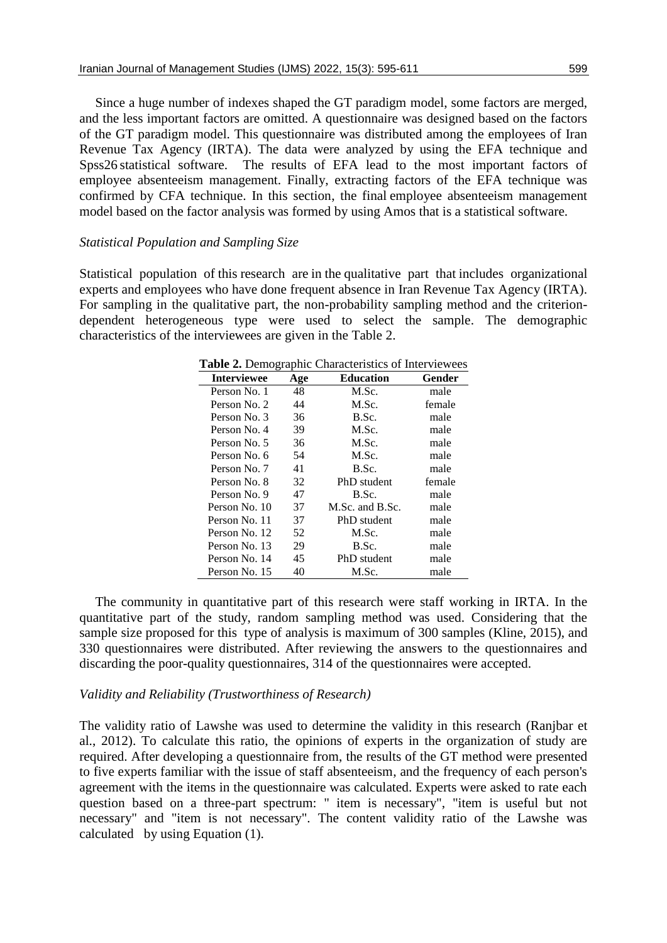Since a huge number of indexes shaped the GT paradigm model, some factors are merged, and the less important factors are omitted. A questionnaire was designed based on the factors of the GT paradigm model. This questionnaire was distributed among the employees of Iran Revenue Tax Agency (IRTA). The data were analyzed by using the EFA technique and Spss26 statistical software. The results of EFA lead to the most important factors of employee absenteeism management. Finally, extracting factors of the EFA technique was confirmed by CFA technique. In this section, the final employee absenteeism management model based on the factor analysis was formed by using Amos that is a statistical software.

#### *Statistical Population and Sampling Size*

Statistical population of this research are in the qualitative part that includes organizational experts and employees who have done frequent absence in Iran Revenue Tax Agency (IRTA). For sampling in the qualitative part, the non-probability sampling method and the criteriondependent heterogeneous type were used to select the sample. The demographic characteristics of the interviewees are given in the Table 2.

| <b>Interviewee</b> | Age | <b>Education</b> | Gender |
|--------------------|-----|------------------|--------|
| Person No. 1       | 48  | M.Sc.            | male   |
| Person No. 2       | 44  | M.Sc.            | female |
| Person No. 3       | 36  | B.Sc.            | male   |
| Person No. 4       | 39  | M.Sc.            | male   |
| Person No. 5       | 36  | M.Sc.            | male   |
| Person No. 6       | 54  | M.Sc.            | male   |
| Person No. 7       | 41  | B.Sc.            | male   |
| Person No. 8       | 32  | PhD student      | female |
| Person No. 9       | 47  | B.Sc.            | male   |
| Person No. 10      | 37  | M.Sc. and B.Sc.  | male   |
| Person No. 11      | 37  | PhD student      | male   |
| Person No. 12      | 52  | M.Sc.            | male   |
| Person No. 13      | 29  | B.Sc.            | male   |
| Person No. 14      | 45  | PhD student      | male   |
| Person No. 15      | 40  | M.Sc.            | male   |

**Table 2.** Demographic Characteristics of Interviewees

The community in quantitative part of this research were staff working in IRTA. In the quantitative part of the study, random sampling method was used. Considering that the sample size proposed for this type of analysis is maximum of 300 samples (Kline, 2015), and 330 questionnaires were distributed. After reviewing the answers to the questionnaires and discarding the poor-quality questionnaires, 314 of the questionnaires were accepted.

#### *Validity and Reliability (Trustworthiness of Research)*

The validity ratio of Lawshe was used to determine the validity in this research (Ranjbar et al., 2012). To calculate this ratio, the opinions of experts in the organization of study are required. After developing a questionnaire from, the results of the GT method were presented to five experts familiar with the issue of staff absenteeism, and the frequency of each person's agreement with the items in the questionnaire was calculated. Experts were asked to rate each question based on a three-part spectrum: " item is necessary", "item is useful but not necessary" and "item is not necessary". The content validity ratio of the Lawshe was calculated by using Equation (1).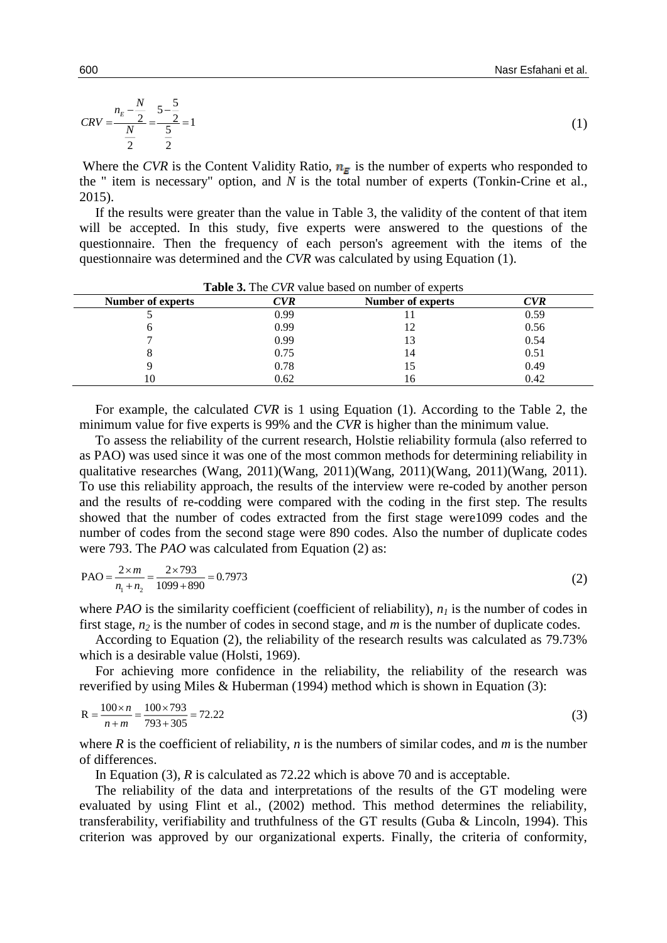$$
CRV = \frac{n_E - \frac{N}{2}}{\frac{N}{2}} = \frac{5 - \frac{5}{2}}{\frac{5}{2}} = 1
$$
 (1)

Where the *CVR* is the Content Validity Ratio,  $n<sub>E</sub>$  is the number of experts who responded to the " item is necessary" option, and *N* is the total number of experts (Tonkin-Crine et al., 2015).

If the results were greater than the value in Table 3, the validity of the content of that item will be accepted. In this study, five experts were answered to the questions of the questionnaire. Then the frequency of each person's agreement with the items of the questionnaire was determined and the *CVR* was calculated by using Equation (1).

| <b>THERE</b> OF THE CYTE VARGE DASCA ON HUMPLE OF CAPCITS |            |                   |      |  |
|-----------------------------------------------------------|------------|-------------------|------|--|
| <b>Number of experts</b>                                  | <b>CVR</b> | Number of experts | CVR  |  |
|                                                           | 0.99       |                   | 0.59 |  |
|                                                           | 0.99       |                   | 0.56 |  |
|                                                           | 0.99       |                   | 0.54 |  |
|                                                           | 0.75       | 14                | 0.51 |  |
|                                                           | 0.78       |                   | 0.49 |  |
| 10                                                        | 0.62       |                   | 0.42 |  |

**Table 3.** The *CVR* value based on number of experts

For example, the calculated *CVR* is 1 using Equation (1). According to the Table 2, the minimum value for five experts is 99% and the *CVR* is higher than the minimum value.

To assess the reliability of the current research, Holstie reliability formula (also referred to as PAO) was used since it was one of the most common methods for determining reliability in qualitative researches (Wang, 2011)(Wang, 2011)(Wang, 2011)(Wang, 2011)(Wang, 2011). To use this reliability approach, the results of the interview were re-coded by another person and the results of re-codding were compared with the coding in the first step. The results showed that the number of codes extracted from the first stage were1099 codes and the number of codes from the second stage were 890 codes. Also the number of duplicate codes were 793. The *PAO* was calculated from Equation (2) as:

$$
PAO = \frac{2 \times m}{n_1 + n_2} = \frac{2 \times 793}{1099 + 890} = 0.7973
$$
\n<sup>(2)</sup>

where *PAO* is the similarity coefficient (coefficient of reliability),  $n<sub>l</sub>$  is the number of codes in first stage, *n<sup>2</sup>* is the number of codes in second stage, and *m* is the number of duplicate codes.

According to Equation (2), the reliability of the research results was calculated as 79.73% which is a desirable value (Holsti, 1969).

For achieving more confidence in the reliability, the reliability of the research was reverified by using Miles & Huberman (1994) method which is shown in Equation (3):

$$
R = \frac{100 \times n}{n+m} = \frac{100 \times 793}{793 + 305} = 72.22
$$
\n(3)

where *R* is the coefficient of reliability, *n* is the numbers of similar codes, and *m* is the number of differences.

In Equation (3), *R* is calculated as 72.22 which is above 70 and is acceptable.

The reliability of the data and interpretations of the results of the GT modeling were evaluated by using Flint et al., (2002) method. This method determines the reliability, transferability, verifiability and truthfulness of the GT results (Guba & Lincoln, 1994). This criterion was approved by our organizational experts. Finally, the criteria of conformity,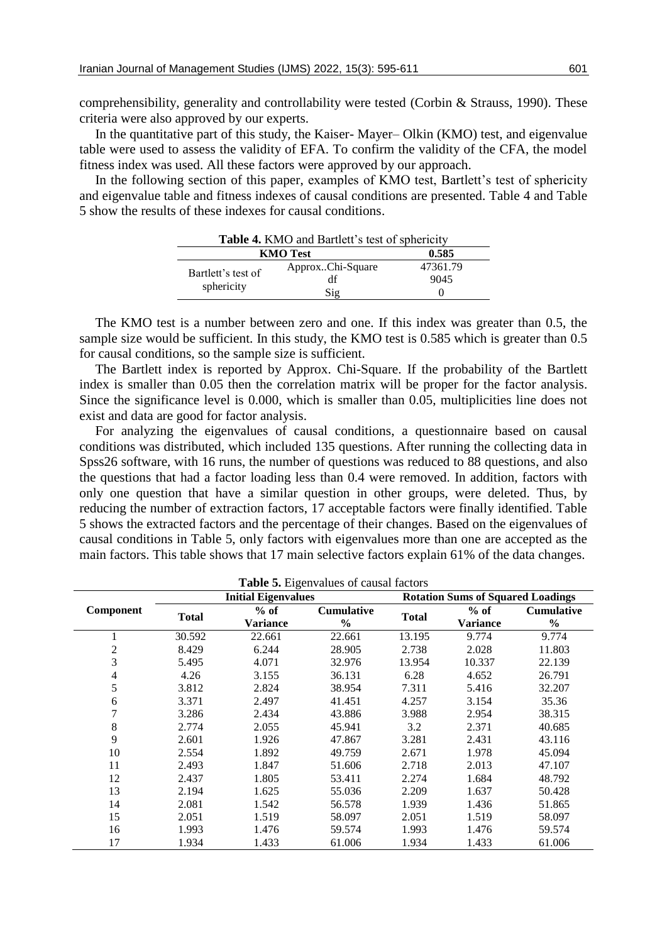comprehensibility, generality and controllability were tested (Corbin & Strauss, 1990). These criteria were also approved by our experts.

In the quantitative part of this study, the Kaiser- Mayer– Olkin (KMO) test, and eigenvalue table were used to assess the validity of EFA. To confirm the validity of the CFA, the model fitness index was used. All these factors were approved by our approach.

In the following section of this paper, examples of KMO test, Bartlett's test of sphericity and eigenvalue table and fitness indexes of causal conditions are presented. Table 4 and Table 5 show the results of these indexes for causal conditions.

|                    | <b>Table 4.</b> KNIO and Bartiell s lest of sphericity |          |
|--------------------|--------------------------------------------------------|----------|
| <b>KMO</b> Test    | 0.585                                                  |          |
| Bartlett's test of | ApproxChi-Square                                       | 47361.79 |
|                    | df                                                     | 9045     |
| sphericity         | $\mathrm{Sig}$                                         |          |

**Table 4.** KMO and Bartlett's test of sphericity

The KMO test is a number between zero and one. If this index was greater than 0.5, the sample size would be sufficient. In this study, the KMO test is 0.585 which is greater than 0.5 for causal conditions, so the sample size is sufficient.

The Bartlett index is reported by Approx. Chi-Square. If the probability of the Bartlett index is smaller than 0.05 then the correlation matrix will be proper for the factor analysis. Since the significance level is 0.000, which is smaller than 0.05, multiplicities line does not exist and data are good for factor analysis.

For analyzing the eigenvalues of causal conditions, a questionnaire based on causal conditions was distributed, which included 135 questions. After running the collecting data in Spss26 software, with 16 runs, the number of questions was reduced to 88 questions, and also the questions that had a factor loading less than 0.4 were removed. In addition, factors with only one question that have a similar question in other groups, were deleted. Thus, by reducing the number of extraction factors, 17 acceptable factors were finally identified. Table 5 shows the extracted factors and the percentage of their changes. Based on the eigenvalues of causal conditions in Table 5, only factors with eigenvalues more than one are accepted as the main factors. This table shows that 17 main selective factors explain 61% of the data changes.

| <b>Table 5.</b> Eigenvalues of causal factors |              |                            |                   |                                          |                 |                   |
|-----------------------------------------------|--------------|----------------------------|-------------------|------------------------------------------|-----------------|-------------------|
|                                               |              | <b>Initial Eigenvalues</b> |                   | <b>Rotation Sums of Squared Loadings</b> |                 |                   |
| Component                                     |              | $%$ of                     | <b>Cumulative</b> | <b>Total</b>                             | $%$ of          | <b>Cumulative</b> |
|                                               | <b>Total</b> | <b>Variance</b>            | $\frac{6}{9}$     |                                          | <b>Variance</b> | $\frac{6}{9}$     |
|                                               | 30.592       | 22.661                     | 22.661            | 13.195                                   | 9.774           | 9.774             |
| 2                                             | 8.429        | 6.244                      | 28.905            | 2.738                                    | 2.028           | 11.803            |
| 3                                             | 5.495        | 4.071                      | 32.976            | 13.954                                   | 10.337          | 22.139            |
| 4                                             | 4.26         | 3.155                      | 36.131            | 6.28                                     | 4.652           | 26.791            |
| 5                                             | 3.812        | 2.824                      | 38.954            | 7.311                                    | 5.416           | 32.207            |
| 6                                             | 3.371        | 2.497                      | 41.451            | 4.257                                    | 3.154           | 35.36             |
| 7                                             | 3.286        | 2.434                      | 43.886            | 3.988                                    | 2.954           | 38.315            |
| 8                                             | 2.774        | 2.055                      | 45.941            | 3.2                                      | 2.371           | 40.685            |
| 9                                             | 2.601        | 1.926                      | 47.867            | 3.281                                    | 2.431           | 43.116            |
| 10                                            | 2.554        | 1.892                      | 49.759            | 2.671                                    | 1.978           | 45.094            |
| 11                                            | 2.493        | 1.847                      | 51.606            | 2.718                                    | 2.013           | 47.107            |
| 12                                            | 2.437        | 1.805                      | 53.411            | 2.274                                    | 1.684           | 48.792            |
| 13                                            | 2.194        | 1.625                      | 55.036            | 2.209                                    | 1.637           | 50.428            |
| 14                                            | 2.081        | 1.542                      | 56.578            | 1.939                                    | 1.436           | 51.865            |
| 15                                            | 2.051        | 1.519                      | 58.097            | 2.051                                    | 1.519           | 58.097            |
| 16                                            | 1.993        | 1.476                      | 59.574            | 1.993                                    | 1.476           | 59.574            |
| 17                                            | 1.934        | 1.433                      | 61.006            | 1.934                                    | 1.433           | 61.006            |

**Table 5.** Eigenvalues of causal factors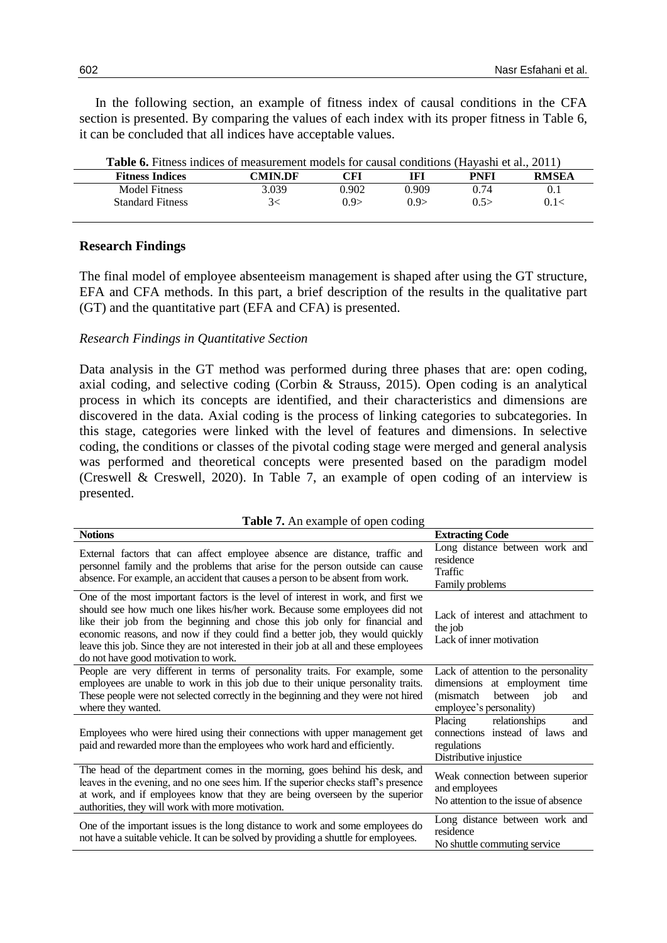In the following section, an example of fitness index of causal conditions in the CFA section is presented. By comparing the values of each index with its proper fitness in Table 6, it can be concluded that all indices have acceptable values.

| <b>Table 6.</b> Fitness indices of measurement models for causal conditions (Hayashi et al., 2011) |         |       |       |      |              |
|----------------------------------------------------------------------------------------------------|---------|-------|-------|------|--------------|
| <b>Fitness Indices</b>                                                                             | CMIN.DF | CFI   | IFI   | PNFI | <b>RMSEA</b> |
| Model Fitness                                                                                      | 3.039   | 0.902 | 0.909 | 0.74 | 0.1          |
| <b>Standard Fitness</b>                                                                            | 3<      | 0.9   | 0.9   | 0.5  | 0.1<         |

### **Research Findings**

The final model of employee absenteeism management is shaped after using the GT structure, EFA and CFA methods. In this part, a brief description of the results in the qualitative part (GT) and the quantitative part (EFA and CFA) is presented.

#### *Research Findings in Quantitative Section*

Data analysis in the GT method was performed during three phases that are: open coding, axial coding, and selective coding (Corbin & Strauss, 2015). Open coding is an analytical process in which its concepts are identified, and their characteristics and dimensions are discovered in the data. Axial coding is the process of linking categories to subcategories. In this stage, categories were linked with the level of features and dimensions. In selective coding, the conditions or classes of the pivotal coding stage were merged and general analysis was performed and theoretical concepts were presented based on the paradigm model (Creswell & Creswell, 2020). In Table 7, an example of open coding of an interview is presented.

| <b>Table 7.</b> An example of open coding                                                                                                                                                                                                                                                                                                                                                                                                                       |                                                                                                                                         |  |  |
|-----------------------------------------------------------------------------------------------------------------------------------------------------------------------------------------------------------------------------------------------------------------------------------------------------------------------------------------------------------------------------------------------------------------------------------------------------------------|-----------------------------------------------------------------------------------------------------------------------------------------|--|--|
| <b>Notions</b>                                                                                                                                                                                                                                                                                                                                                                                                                                                  | <b>Extracting Code</b>                                                                                                                  |  |  |
| External factors that can affect employee absence are distance, traffic and<br>personnel family and the problems that arise for the person outside can cause<br>absence. For example, an accident that causes a person to be absent from work.                                                                                                                                                                                                                  | Long distance between work and<br>residence<br>Traffic<br>Family problems                                                               |  |  |
| One of the most important factors is the level of interest in work, and first we<br>should see how much one likes his/her work. Because some employees did not<br>like their job from the beginning and chose this job only for financial and<br>economic reasons, and now if they could find a better job, they would quickly<br>leave this job. Since they are not interested in their job at all and these employees<br>do not have good motivation to work. | Lack of interest and attachment to<br>the job<br>Lack of inner motivation                                                               |  |  |
| People are very different in terms of personality traits. For example, some<br>employees are unable to work in this job due to their unique personality traits.<br>These people were not selected correctly in the beginning and they were not hired<br>where they wanted.                                                                                                                                                                                      | Lack of attention to the personality<br>dimensions at employment<br>time<br>(mismatch)<br>between job<br>and<br>employee's personality) |  |  |
| Employees who were hired using their connections with upper management get<br>paid and rewarded more than the employees who work hard and efficiently.                                                                                                                                                                                                                                                                                                          | Placing<br>relationships<br>and<br>connections instead of laws<br>and<br>regulations<br>Distributive injustice                          |  |  |
| The head of the department comes in the morning, goes behind his desk, and<br>leaves in the evening, and no one sees him. If the superior checks staff's presence<br>at work, and if employees know that they are being overseen by the superior<br>authorities, they will work with more motivation.                                                                                                                                                           | Weak connection between superior<br>and employees<br>No attention to the issue of absence                                               |  |  |
| One of the important issues is the long distance to work and some employees do<br>not have a suitable vehicle. It can be solved by providing a shuttle for employees.                                                                                                                                                                                                                                                                                           | Long distance between work and<br>residence<br>No shuttle commuting service                                                             |  |  |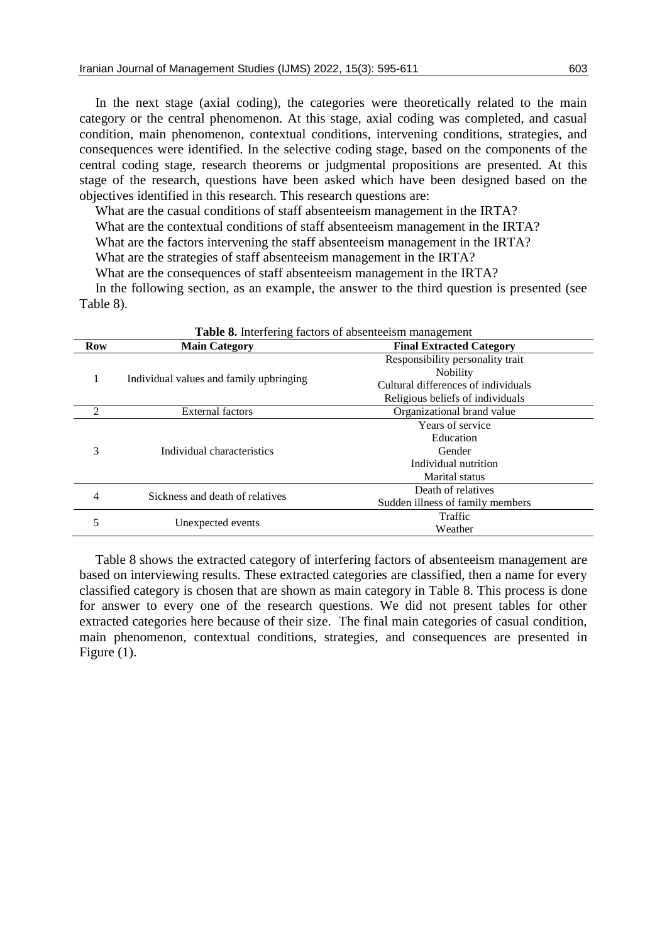In the next stage (axial coding), the categories were theoretically related to the main category or the central phenomenon. At this stage, axial coding was completed, and casual condition, main phenomenon, contextual conditions, intervening conditions, strategies, and consequences were identified. In the selective coding stage, based on the components of the central coding stage, research theorems or judgmental propositions are presented. At this stage of the research, questions have been asked which have been designed based on the objectives identified in this research. This research questions are:

What are the casual conditions of staff absenteeism management in the IRTA? What are the contextual conditions of staff absenteeism management in the IRTA? What are the factors intervening the staff absenteeism management in the IRTA? What are the strategies of staff absenteeism management in the IRTA? What are the consequences of staff absenteeism management in the IRTA?

In the following section, as an example, the answer to the third question is presented (see Table 8).

| <b>Table 8.</b> Interfering factors of absenteeism management |                                         |                                              |  |  |
|---------------------------------------------------------------|-----------------------------------------|----------------------------------------------|--|--|
| <b>Row</b>                                                    | <b>Main Category</b>                    | <b>Final Extracted Category</b>              |  |  |
|                                                               |                                         | Responsibility personality trait<br>Nobility |  |  |
|                                                               | Individual values and family upbringing | Cultural differences of individuals          |  |  |
|                                                               |                                         | Religious beliefs of individuals             |  |  |
| $\mathfrak{D}$                                                | <b>External factors</b>                 | Organizational brand value                   |  |  |
|                                                               |                                         | Years of service                             |  |  |
|                                                               |                                         | Education                                    |  |  |
| 3                                                             | Individual characteristics              | Gender                                       |  |  |
|                                                               |                                         | Individual nutrition                         |  |  |
|                                                               |                                         | <b>Marital</b> status                        |  |  |
|                                                               | Sickness and death of relatives         | Death of relatives                           |  |  |
| 4                                                             |                                         | Sudden illness of family members             |  |  |
| 5                                                             |                                         | Traffic                                      |  |  |
|                                                               | Unexpected events                       | Weather                                      |  |  |

Table 8 shows the extracted category of interfering factors of absenteeism management are based on interviewing results. These extracted categories are classified, then a name for every classified category is chosen that are shown as main category in Table 8. This process is done for answer to every one of the research questions. We did not present tables for other extracted categories here because of their size. The final main categories of casual condition, main phenomenon, contextual conditions, strategies, and consequences are presented in Figure (1).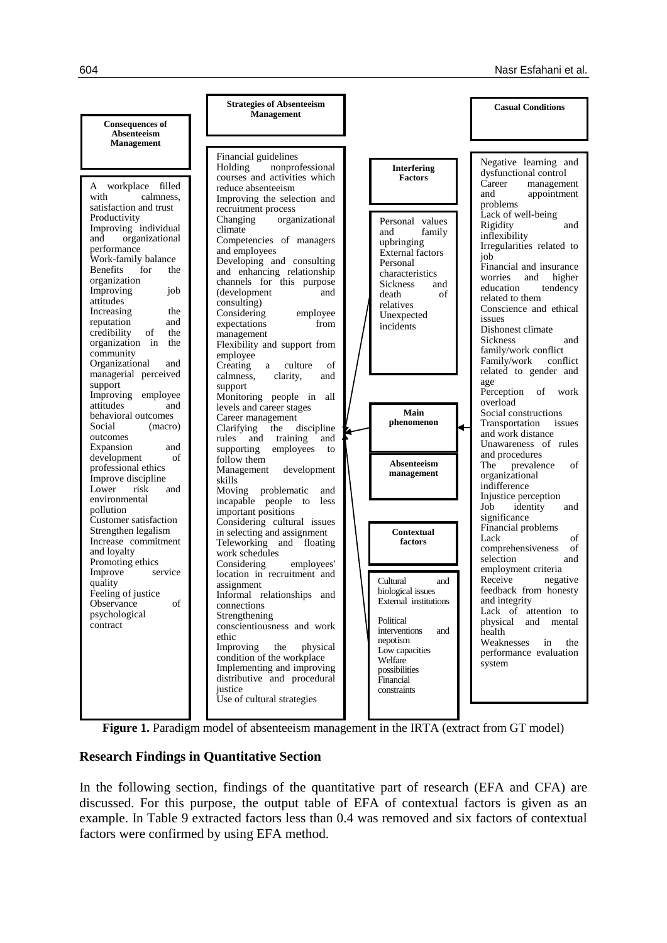

Figure 1. Paradigm model of absenteeism management in the IRTA (extract from GT model)

### **Research Findings in Quantitative Section**

In the following section, findings of the quantitative part of research (EFA and CFA) are discussed. For this purpose, the output table of EFA of contextual factors is given as an example. In Table 9 extracted factors less than 0.4 was removed and six factors of contextual factors were confirmed by using EFA method.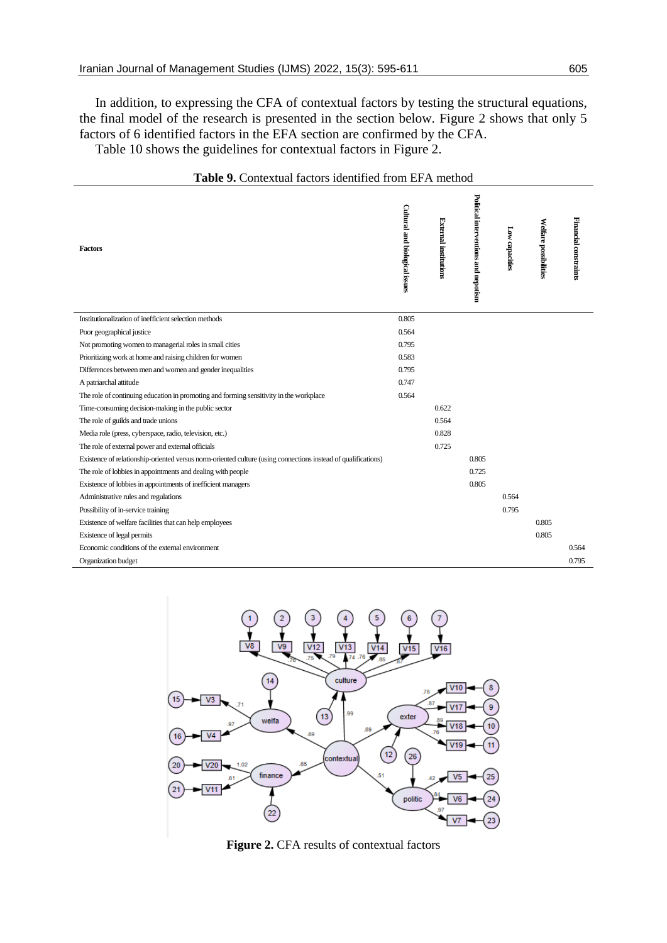In addition, to expressing the CFA of contextual factors by testing the structural equations, the final model of the research is presented in the section below. Figure 2 shows that only 5 factors of 6 identified factors in the EFA section are confirmed by the CFA. Table 10 shows the guidelines for contextual factors in Figure 2.

Political interventions and nepotism **Political interventions and nepotism** Cultural and biological issues **Cultural and biological issues** External institutions **External institutions** Financial constraints **Financial constraints** Welfare possibilitie: **Welfare possibilities** Low capacitie **Low capacities Factors** Institutionalization of inefficient selection methods 0.805 Poor geographical justice 0.564 Not promoting women to managerial roles in small cities 0.795 Prioritizing work at home and raising children for women 0.583 Differences between men and women and gender inequalities 0.795 A patriarchal attitude 0.747 The role of continuing education in promoting and forming sensitivity in the workplace 0.564 Time-consuming decision-making in the public sector 0.622 The role of guilds and trade unions 0.564 Media role (press, cyberspace, radio, television, etc.) 0.828 The role of external power and external officials 0.725 Existence of relationship-oriented versus norm-oriented culture (using connections instead of qualifications) 0.805 The role of lobbies in appointments and dealing with people 0.725 Existence of lobbies in appointments of inefficient managers 0.805 Administrative rules and regulations 0.564 Possibility of in-service training 0.795 Existence of welfare facilities that can help employees 0.805 Existence of legal permits 0.805 Economic conditions of the external environment 0.564 Organization budget 0.795





**Figure 2.** CFA results of contextual factors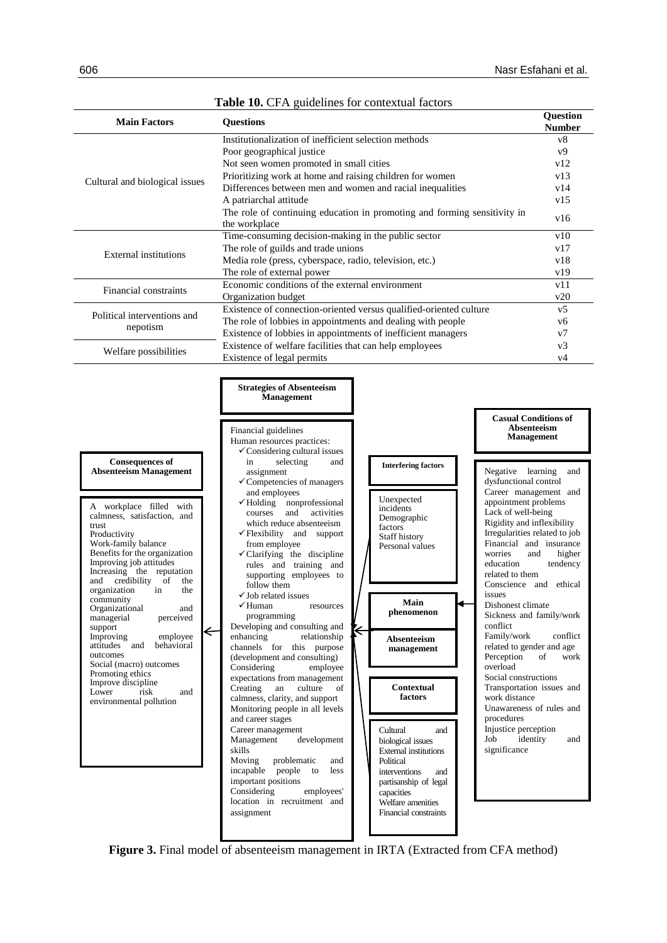| <b>Main Factors</b>                                                                                                                                                                                                                                                                                                                                                                                                                                                                                                                                       | <b>radic To.</b> Cr <i>i</i> x guidennes for contextual factors<br><b>Questions</b>                                                                                                                                                                                                                                                                                                                                                                                                                                                                                                                                                                                                                                |                                                                                                                                                                                                                                                                                                                                                                                                                                                                                                                                                                                                                                                                                                               | Question                                            |  |  |
|-----------------------------------------------------------------------------------------------------------------------------------------------------------------------------------------------------------------------------------------------------------------------------------------------------------------------------------------------------------------------------------------------------------------------------------------------------------------------------------------------------------------------------------------------------------|--------------------------------------------------------------------------------------------------------------------------------------------------------------------------------------------------------------------------------------------------------------------------------------------------------------------------------------------------------------------------------------------------------------------------------------------------------------------------------------------------------------------------------------------------------------------------------------------------------------------------------------------------------------------------------------------------------------------|---------------------------------------------------------------------------------------------------------------------------------------------------------------------------------------------------------------------------------------------------------------------------------------------------------------------------------------------------------------------------------------------------------------------------------------------------------------------------------------------------------------------------------------------------------------------------------------------------------------------------------------------------------------------------------------------------------------|-----------------------------------------------------|--|--|
|                                                                                                                                                                                                                                                                                                                                                                                                                                                                                                                                                           | Institutionalization of inefficient selection methods                                                                                                                                                                                                                                                                                                                                                                                                                                                                                                                                                                                                                                                              |                                                                                                                                                                                                                                                                                                                                                                                                                                                                                                                                                                                                                                                                                                               | <b>Number</b><br>v8                                 |  |  |
|                                                                                                                                                                                                                                                                                                                                                                                                                                                                                                                                                           | Poor geographical justice                                                                                                                                                                                                                                                                                                                                                                                                                                                                                                                                                                                                                                                                                          |                                                                                                                                                                                                                                                                                                                                                                                                                                                                                                                                                                                                                                                                                                               | v9                                                  |  |  |
|                                                                                                                                                                                                                                                                                                                                                                                                                                                                                                                                                           |                                                                                                                                                                                                                                                                                                                                                                                                                                                                                                                                                                                                                                                                                                                    | Not seen women promoted in small cities                                                                                                                                                                                                                                                                                                                                                                                                                                                                                                                                                                                                                                                                       |                                                     |  |  |
|                                                                                                                                                                                                                                                                                                                                                                                                                                                                                                                                                           | Prioritizing work at home and raising children for women                                                                                                                                                                                                                                                                                                                                                                                                                                                                                                                                                                                                                                                           |                                                                                                                                                                                                                                                                                                                                                                                                                                                                                                                                                                                                                                                                                                               | v13                                                 |  |  |
| Cultural and biological issues                                                                                                                                                                                                                                                                                                                                                                                                                                                                                                                            | Differences between men and women and racial inequalities                                                                                                                                                                                                                                                                                                                                                                                                                                                                                                                                                                                                                                                          |                                                                                                                                                                                                                                                                                                                                                                                                                                                                                                                                                                                                                                                                                                               | v14                                                 |  |  |
|                                                                                                                                                                                                                                                                                                                                                                                                                                                                                                                                                           | A patriarchal attitude                                                                                                                                                                                                                                                                                                                                                                                                                                                                                                                                                                                                                                                                                             |                                                                                                                                                                                                                                                                                                                                                                                                                                                                                                                                                                                                                                                                                                               | v15                                                 |  |  |
|                                                                                                                                                                                                                                                                                                                                                                                                                                                                                                                                                           | the workplace                                                                                                                                                                                                                                                                                                                                                                                                                                                                                                                                                                                                                                                                                                      | The role of continuing education in promoting and forming sensitivity in                                                                                                                                                                                                                                                                                                                                                                                                                                                                                                                                                                                                                                      | v16                                                 |  |  |
|                                                                                                                                                                                                                                                                                                                                                                                                                                                                                                                                                           | Time-consuming decision-making in the public sector                                                                                                                                                                                                                                                                                                                                                                                                                                                                                                                                                                                                                                                                |                                                                                                                                                                                                                                                                                                                                                                                                                                                                                                                                                                                                                                                                                                               | v10                                                 |  |  |
| <b>External institutions</b>                                                                                                                                                                                                                                                                                                                                                                                                                                                                                                                              | The role of guilds and trade unions                                                                                                                                                                                                                                                                                                                                                                                                                                                                                                                                                                                                                                                                                |                                                                                                                                                                                                                                                                                                                                                                                                                                                                                                                                                                                                                                                                                                               | v17                                                 |  |  |
|                                                                                                                                                                                                                                                                                                                                                                                                                                                                                                                                                           | Media role (press, cyberspace, radio, television, etc.)<br>The role of external power                                                                                                                                                                                                                                                                                                                                                                                                                                                                                                                                                                                                                              |                                                                                                                                                                                                                                                                                                                                                                                                                                                                                                                                                                                                                                                                                                               | v18<br>v19                                          |  |  |
|                                                                                                                                                                                                                                                                                                                                                                                                                                                                                                                                                           | Economic conditions of the external environment                                                                                                                                                                                                                                                                                                                                                                                                                                                                                                                                                                                                                                                                    |                                                                                                                                                                                                                                                                                                                                                                                                                                                                                                                                                                                                                                                                                                               | v11                                                 |  |  |
| Financial constraints                                                                                                                                                                                                                                                                                                                                                                                                                                                                                                                                     | Organization budget                                                                                                                                                                                                                                                                                                                                                                                                                                                                                                                                                                                                                                                                                                |                                                                                                                                                                                                                                                                                                                                                                                                                                                                                                                                                                                                                                                                                                               | v20                                                 |  |  |
|                                                                                                                                                                                                                                                                                                                                                                                                                                                                                                                                                           |                                                                                                                                                                                                                                                                                                                                                                                                                                                                                                                                                                                                                                                                                                                    | Existence of connection-oriented versus qualified-oriented culture                                                                                                                                                                                                                                                                                                                                                                                                                                                                                                                                                                                                                                            | v <sub>5</sub>                                      |  |  |
| Political interventions and<br>nepotism                                                                                                                                                                                                                                                                                                                                                                                                                                                                                                                   | The role of lobbies in appointments and dealing with people                                                                                                                                                                                                                                                                                                                                                                                                                                                                                                                                                                                                                                                        |                                                                                                                                                                                                                                                                                                                                                                                                                                                                                                                                                                                                                                                                                                               | v6                                                  |  |  |
|                                                                                                                                                                                                                                                                                                                                                                                                                                                                                                                                                           | Existence of lobbies in appointments of inefficient managers                                                                                                                                                                                                                                                                                                                                                                                                                                                                                                                                                                                                                                                       |                                                                                                                                                                                                                                                                                                                                                                                                                                                                                                                                                                                                                                                                                                               | v7                                                  |  |  |
| Welfare possibilities                                                                                                                                                                                                                                                                                                                                                                                                                                                                                                                                     | Existence of welfare facilities that can help employees                                                                                                                                                                                                                                                                                                                                                                                                                                                                                                                                                                                                                                                            |                                                                                                                                                                                                                                                                                                                                                                                                                                                                                                                                                                                                                                                                                                               | v3                                                  |  |  |
|                                                                                                                                                                                                                                                                                                                                                                                                                                                                                                                                                           | Existence of legal permits                                                                                                                                                                                                                                                                                                                                                                                                                                                                                                                                                                                                                                                                                         |                                                                                                                                                                                                                                                                                                                                                                                                                                                                                                                                                                                                                                                                                                               | v4                                                  |  |  |
|                                                                                                                                                                                                                                                                                                                                                                                                                                                                                                                                                           | <b>Strategies of Absenteeism</b><br><b>Management</b>                                                                                                                                                                                                                                                                                                                                                                                                                                                                                                                                                                                                                                                              | <b>Casual Conditions of</b>                                                                                                                                                                                                                                                                                                                                                                                                                                                                                                                                                                                                                                                                                   |                                                     |  |  |
| <b>Consequences of</b><br><b>Absenteeism</b> Management                                                                                                                                                                                                                                                                                                                                                                                                                                                                                                   | Financial guidelines<br>Human resources practices:<br>$\checkmark$ Considering cultural issues<br>selecting<br>in<br>and<br>assignment                                                                                                                                                                                                                                                                                                                                                                                                                                                                                                                                                                             | Absenteeism<br><b>Management</b><br><b>Interfering factors</b><br>Negative learning                                                                                                                                                                                                                                                                                                                                                                                                                                                                                                                                                                                                                           | and                                                 |  |  |
| A workplace filled with<br>calmness, satisfaction, and<br>trust<br>Productivity<br>Work-family balance<br>Benefits for the organization<br>Improving job attitudes<br>Increasing the reputation<br>and credibility of<br>the<br>organization<br>in<br>the<br>community<br>Organizational<br>$\quad$ and<br>managerial<br>perceived<br>support<br>$\leftarrow$<br>employee<br>Improving<br>attitudes and<br>behavioral<br>outcomes<br>Social (macro) outcomes<br>Promoting ethics<br>Improve discipline<br>Lower<br>risk<br>and<br>environmental pollution | $\checkmark$ Competencies of managers<br>and employees<br>nonprofessional<br>$\checkmark$ Holding<br>and<br>activities<br>courses<br>which reduce absenteeism<br>√Flexibility and support<br>from employee<br>√ Clarifying the discipline<br>rules and training and<br>supporting employees to<br>follow them<br>$\checkmark$ Job related issues<br><del>√</del> Human resources<br>programming<br>Developing and consulting and<br>enhancing<br>relationship<br>channels for this purpose<br>(development and consulting)<br>Considering<br>employee<br>expectations from management<br>Creating<br>an<br>culture<br>of<br>calmness, clarity, and support<br>Monitoring people in all levels<br>and career stages | dysfunctional control<br>Career management and<br>Unexpected<br>appointment problems<br>incidents<br>Lack of well-being<br>Demographic<br>Rigidity and inflexibility<br>factors<br>Irregularities related to job<br>Staff history<br>Financial and insurance<br>Personal values<br>worries<br>education<br>related to them<br>Conscience and ethical<br>issues<br>Main<br>Dishonest climate<br>phenomenon<br>Sickness and family/work<br>conflict<br>$\Leftarrow$<br>Family/work<br>Absenteeism<br>related to gender and age<br>management<br>Perception<br>overload<br>Social constructions<br>Contextual<br>Transportation issues and<br>factors<br>work distance<br>Unawareness of rules and<br>procedures | and<br>higher<br>tendency<br>conflict<br>of<br>work |  |  |
|                                                                                                                                                                                                                                                                                                                                                                                                                                                                                                                                                           | Career management<br>Management<br>development<br>skills<br>Moving<br>problematic<br>and<br>incapable<br>people<br>to<br>less<br>important positions<br>Considering<br>employees'<br>location in recruitment and<br>assignment                                                                                                                                                                                                                                                                                                                                                                                                                                                                                     | Injustice perception<br>Cultural<br>and<br>identity<br>Job<br>biological issues<br>significance<br><b>External institutions</b><br>Political<br>interventions<br>and<br>partisanship of legal<br>capacities<br>Welfare amenities<br>Financial constraints                                                                                                                                                                                                                                                                                                                                                                                                                                                     | and                                                 |  |  |

**Table 10.** CFA guidelines for contextual factors

**Figure 3.** Final model of absenteeism management in IRTA (Extracted from CFA method)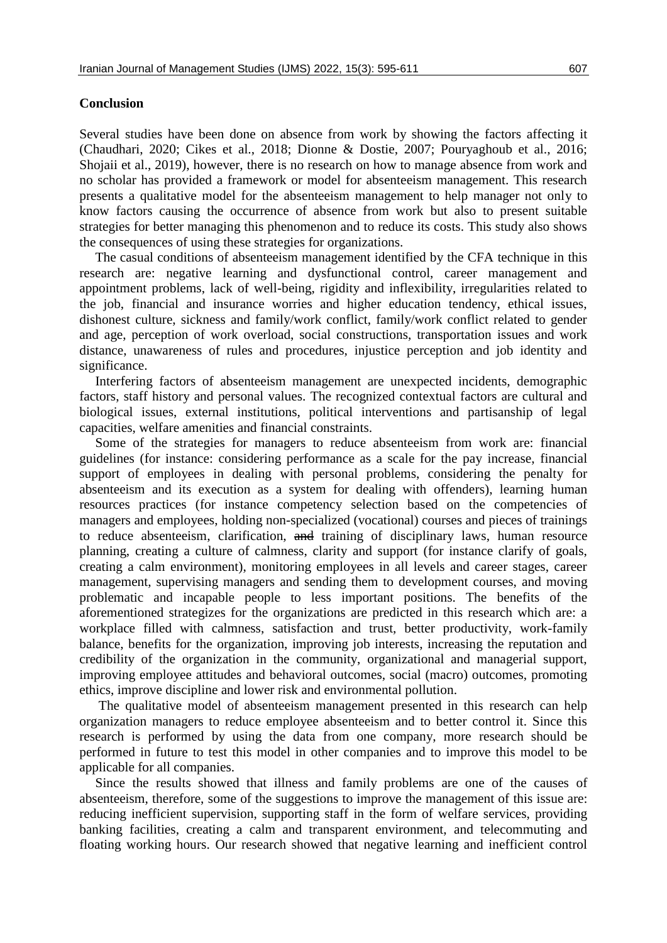#### **Conclusion**

Several studies have been done on absence from work by showing the factors affecting it (Chaudhari, 2020; Cikes et al., 2018; Dionne & Dostie, 2007; Pouryaghoub et al., 2016; Shojaii et al., 2019), however, there is no research on how to manage absence from work and no scholar has provided a framework or model for absenteeism management. This research presents a qualitative model for the absenteeism management to help manager not only to know factors causing the occurrence of absence from work but also to present suitable strategies for better managing this phenomenon and to reduce its costs. This study also shows the consequences of using these strategies for organizations.

The casual conditions of absenteeism management identified by the CFA technique in this research are: negative learning and dysfunctional control, career management and appointment problems, lack of well-being, rigidity and inflexibility, irregularities related to the job, financial and insurance worries and higher education tendency, ethical issues, dishonest culture, sickness and family/work conflict, family/work conflict related to gender and age, perception of work overload, social constructions, transportation issues and work distance, unawareness of rules and procedures, injustice perception and job identity and significance.

Interfering factors of absenteeism management are unexpected incidents, demographic factors, staff history and personal values. The recognized contextual factors are cultural and biological issues, external institutions, political interventions and partisanship of legal capacities, welfare amenities and financial constraints.

Some of the strategies for managers to reduce absenteeism from work are: financial guidelines (for instance: considering performance as a scale for the pay increase, financial support of employees in dealing with personal problems, considering the penalty for absenteeism and its execution as a system for dealing with offenders), learning human resources practices (for instance competency selection based on the competencies of managers and employees, holding non-specialized (vocational) courses and pieces of trainings to reduce absenteeism, clarification, and training of disciplinary laws, human resource planning, creating a culture of calmness, clarity and support (for instance clarify of goals, creating a calm environment), monitoring employees in all levels and career stages, career management, supervising managers and sending them to development courses, and moving problematic and incapable people to less important positions. The benefits of the aforementioned strategizes for the organizations are predicted in this research which are: a workplace filled with calmness, satisfaction and trust, better productivity, work-family balance, benefits for the organization, improving job interests, increasing the reputation and credibility of the organization in the community, organizational and managerial support, improving employee attitudes and behavioral outcomes, social (macro) outcomes, promoting ethics, improve discipline and lower risk and environmental pollution.

The qualitative model of absenteeism management presented in this research can help organization managers to reduce employee absenteeism and to better control it. Since this research is performed by using the data from one company, more research should be performed in future to test this model in other companies and to improve this model to be applicable for all companies.

Since the results showed that illness and family problems are one of the causes of absenteeism, therefore, some of the suggestions to improve the management of this issue are: reducing inefficient supervision, supporting staff in the form of welfare services, providing banking facilities, creating a calm and transparent environment, and telecommuting and floating working hours. Our research showed that negative learning and inefficient control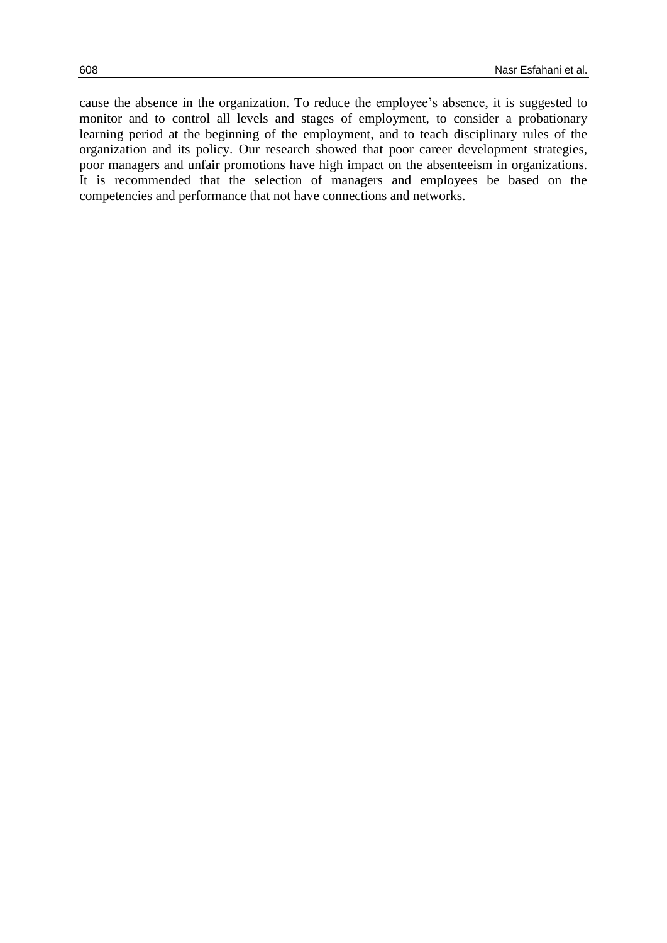cause the absence in the organization. To reduce the employee's absence, it is suggested to monitor and to control all levels and stages of employment, to consider a probationary learning period at the beginning of the employment, and to teach disciplinary rules of the organization and its policy. Our research showed that poor career development strategies, poor managers and unfair promotions have high impact on the absenteeism in organizations. It is recommended that the selection of managers and employees be based on the competencies and performance that not have connections and networks.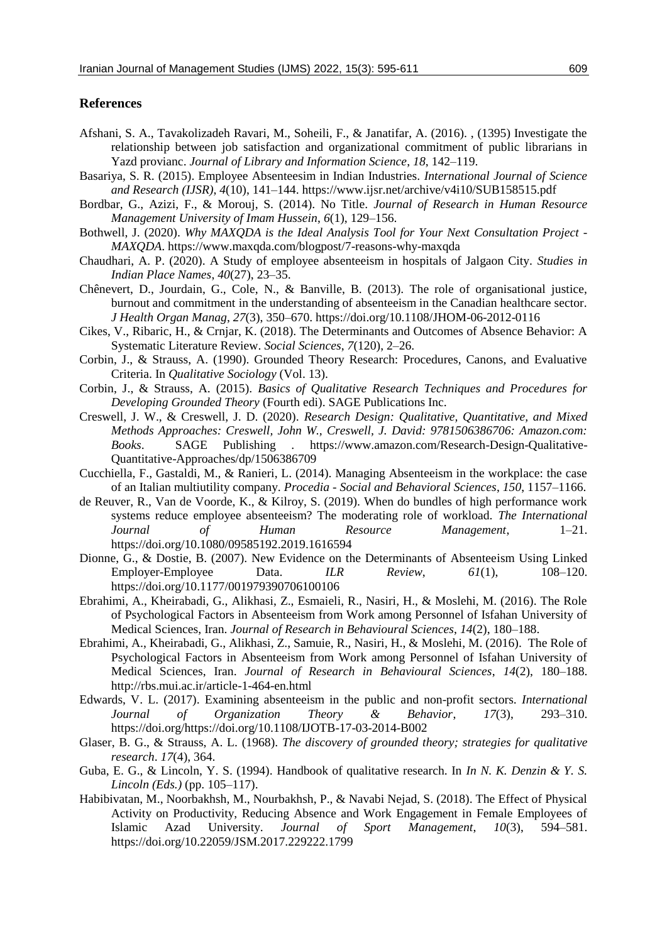#### **References**

- Afshani, S. A., Tavakolizadeh Ravari, M., Soheili, F., & Janatifar, A. (2016). , (1395) Investigate the relationship between job satisfaction and organizational commitment of public librarians in Yazd provianc. *Journal of Library and Information Science*, *18*, 142–119.
- Basariya, S. R. (2015). Employee Absenteesim in Indian Industries. *International Journal of Science and Research (IJSR)*, *4*(10), 141–144. https://www.ijsr.net/archive/v4i10/SUB158515.pdf
- Bordbar, G., Azizi, F., & Morouj, S. (2014). No Title. *Journal of Research in Human Resource Management University of Imam Hussein*, *6*(1), 129–156.
- Bothwell, J. (2020). *Why MAXQDA is the Ideal Analysis Tool for Your Next Consultation Project - MAXQDA*. https://www.maxqda.com/blogpost/7-reasons-why-maxqda
- Chaudhari, A. P. (2020). A Study of employee absenteeism in hospitals of Jalgaon City. *Studies in Indian Place Names*, *40*(27), 23–35.
- Chênevert, D., Jourdain, G., Cole, N., & Banville, B. (2013). The role of organisational justice, burnout and commitment in the understanding of absenteeism in the Canadian healthcare sector. *J Health Organ Manag*, *27*(3), 350–670. https://doi.org/10.1108/JHOM-06-2012-0116
- Cikes, V., Ribaric, H., & Crnjar, K. (2018). The Determinants and Outcomes of Absence Behavior: A Systematic Literature Review. *Social Sciences*, *7*(120), 2–26.
- Corbin, J., & Strauss, A. (1990). Grounded Theory Research: Procedures, Canons, and Evaluative Criteria. In *Qualitative Sociology* (Vol. 13).
- Corbin, J., & Strauss, A. (2015). *Basics of Qualitative Research Techniques and Procedures for Developing Grounded Theory* (Fourth edi). SAGE Publications Inc.
- Creswell, J. W., & Creswell, J. D. (2020). *Research Design: Qualitative, Quantitative, and Mixed Methods Approaches: Creswell, John W., Creswell, J. David: 9781506386706: Amazon.com: Books*. SAGE Publishing . https://www.amazon.com/Research-Design-Qualitative-Quantitative-Approaches/dp/1506386709
- Cucchiella, F., Gastaldi, M., & Ranieri, L. (2014). Managing Absenteeism in the workplace: the case of an Italian multiutility company. *Procedia - Social and Behavioral Sciences*, *150*, 1157–1166.
- de Reuver, R., Van de Voorde, K., & Kilroy, S. (2019). When do bundles of high performance work systems reduce employee absenteeism? The moderating role of workload. *The International Journal of Human Resource Management*, 1–21. https://doi.org/10.1080/09585192.2019.1616594
- Dionne, G., & Dostie, B. (2007). New Evidence on the Determinants of Absenteeism Using Linked Employer-Employee Data. *ILR Review*, *61*(1), 108–120. https://doi.org/10.1177/001979390706100106
- Ebrahimi, A., Kheirabadi, G., Alikhasi, Z., Esmaieli, R., Nasiri, H., & Moslehi, M. (2016). The Role of Psychological Factors in Absenteeism from Work among Personnel of Isfahan University of Medical Sciences, Iran. *Journal of Research in Behavioural Sciences*, *14*(2), 180–188.
- Ebrahimi, A., Kheirabadi, G., Alikhasi, Z., Samuie, R., Nasiri, H., & Moslehi, M. (2016). The Role of Psychological Factors in Absenteeism from Work among Personnel of Isfahan University of Medical Sciences, Iran. *Journal of Research in Behavioural Sciences*, *14*(2), 180–188. http://rbs.mui.ac.ir/article-1-464-en.html
- Edwards, V. L. (2017). Examining absenteeism in the public and non-profit sectors. *International Journal of Organization Theory & Behavior*, *17*(3), 293–310. https://doi.org/https://doi.org/10.1108/IJOTB-17-03-2014-B002
- Glaser, B. G., & Strauss, A. L. (1968). *The discovery of grounded theory; strategies for qualitative research*. *17*(4), 364.
- Guba, E. G., & Lincoln, Y. S. (1994). Handbook of qualitative research. In *In N. K. Denzin & Y. S. Lincoln (Eds.)* (pp. 105–117).
- Habibivatan, M., Noorbakhsh, M., Nourbakhsh, P., & Navabi Nejad, S. (2018). The Effect of Physical Activity on Productivity, Reducing Absence and Work Engagement in Female Employees of Islamic Azad University. *Journal of Sport Management*, *10*(3), 594–581. https://doi.org/10.22059/JSM.2017.229222.1799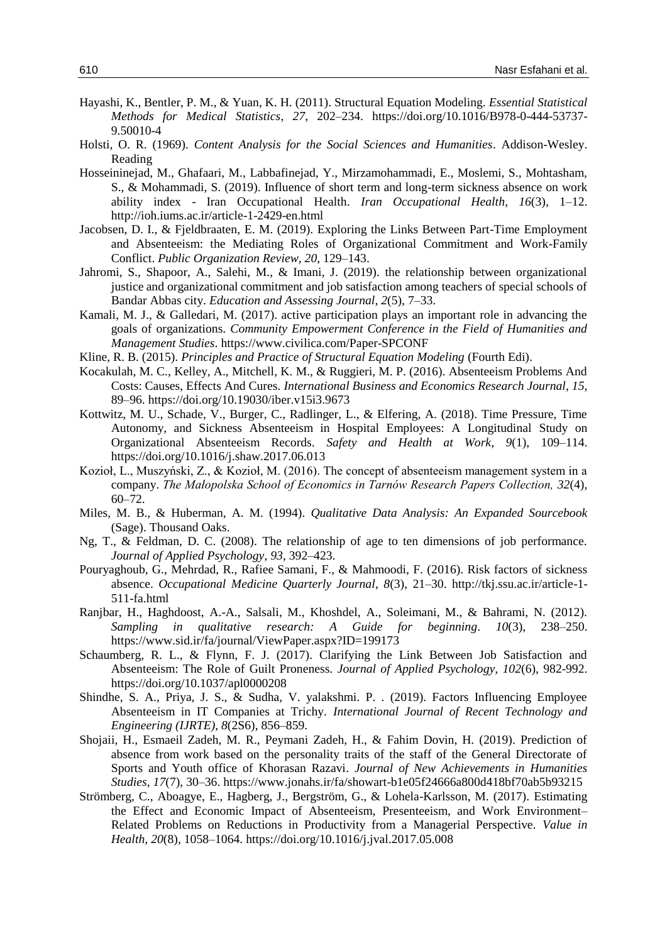- Hayashi, K., Bentler, P. M., & Yuan, K. H. (2011). Structural Equation Modeling. *Essential Statistical Methods for Medical Statistics*, *27*, 202–234. https://doi.org/10.1016/B978-0-444-53737- 9.50010-4
- Holsti, O. R. (1969). *Content Analysis for the Social Sciences and Humanities*. Addison-Wesley. Reading
- Hosseininejad, M., Ghafaari, M., Labbafinejad, Y., Mirzamohammadi, E., Moslemi, S., Mohtasham, S., & Mohammadi, S. (2019). Influence of short term and long-term sickness absence on work ability index - Iran Occupational Health. *Iran Occupational Health*, *16*(3), 1–12. http://ioh.iums.ac.ir/article-1-2429-en.html
- Jacobsen, D. I., & Fjeldbraaten, E. M. (2019). Exploring the Links Between Part-Time Employment and Absenteeism: the Mediating Roles of Organizational Commitment and Work-Family Conflict. *Public Organization Review*, *20*, 129–143.
- Jahromi, S., Shapoor, A., Salehi, M., & Imani, J. (2019). the relationship between organizational justice and organizational commitment and job satisfaction among teachers of special schools of Bandar Abbas city. *Education and Assessing Journal*, *2*(5), 7–33.
- Kamali, M. J., & Galledari, M. (2017). active participation plays an important role in advancing the goals of organizations. *Community Empowerment Conference in the Field of Humanities and Management Studies*. https://www.civilica.com/Paper-SPCONF
- Kline, R. B. (2015). *Principles and Practice of Structural Equation Modeling* (Fourth Edi).
- Kocakulah, M. C., Kelley, A., Mitchell, K. M., & Ruggieri, M. P. (2016). Absenteeism Problems And Costs: Causes, Effects And Cures. *International Business and Economics Research Journal*, *15*, 89–96. https://doi.org/10.19030/iber.v15i3.9673
- Kottwitz, M. U., Schade, V., Burger, C., Radlinger, L., & Elfering, A. (2018). Time Pressure, Time Autonomy, and Sickness Absenteeism in Hospital Employees: A Longitudinal Study on Organizational Absenteeism Records. *Safety and Health at Work*, *9*(1), 109–114. https://doi.org/10.1016/j.shaw.2017.06.013
- Kozioł, L., Muszyński, Z., & Kozioł, M. (2016). The concept of absenteeism management system in a company. *The Małopolska School of Economics in Tarnów Research Papers Collection, 32*(4), 60–72.
- Miles, M. B., & Huberman, A. M. (1994). *Qualitative Data Analysis: An Expanded Sourcebook* (Sage). Thousand Oaks.
- Ng, T., & Feldman, D. C. (2008). The relationship of age to ten dimensions of job performance. *Journal of Applied Psychology*, *93*, 392–423.
- Pouryaghoub, G., Mehrdad, R., Rafiee Samani, F., & Mahmoodi, F. (2016). Risk factors of sickness absence. *Occupational Medicine Quarterly Journal*, *8*(3), 21–30. http://tkj.ssu.ac.ir/article-1- 511-fa.html
- Ranjbar, H., Haghdoost, A.-A., Salsali, M., Khoshdel, A., Soleimani, M., & Bahrami, N. (2012). *Sampling in qualitative research: A Guide for beginning*. *10*(3), 238–250. https://www.sid.ir/fa/journal/ViewPaper.aspx?ID=199173
- Schaumberg, R. L., & Flynn, F. J. (2017). Clarifying the Link Between Job Satisfaction and Absenteeism: The Role of Guilt Proneness. *Journal of Applied Psychology*, *102*(6), 982-992. https://doi.org/10.1037/apl0000208
- Shindhe, S. A., Priya, J. S., & Sudha, V. yalakshmi. P. . (2019). Factors Influencing Employee Absenteeism in IT Companies at Trichy. *International Journal of Recent Technology and Engineering (IJRTE)*, *8*(2S6), 856–859.
- Shojaii, H., Esmaeil Zadeh, M. R., Peymani Zadeh, H., & Fahim Dovin, H. (2019). Prediction of absence from work based on the personality traits of the staff of the General Directorate of Sports and Youth office of Khorasan Razavi. *Journal of New Achievements in Humanities Studies*, *17*(7), 30–36. https://www.jonahs.ir/fa/showart-b1e05f24666a800d418bf70ab5b93215
- Strömberg, C., Aboagye, E., Hagberg, J., Bergström, G., & Lohela-Karlsson, M. (2017). Estimating the Effect and Economic Impact of Absenteeism, Presenteeism, and Work Environment– Related Problems on Reductions in Productivity from a Managerial Perspective. *Value in Health*, *20*(8), 1058–1064. https://doi.org/10.1016/j.jval.2017.05.008